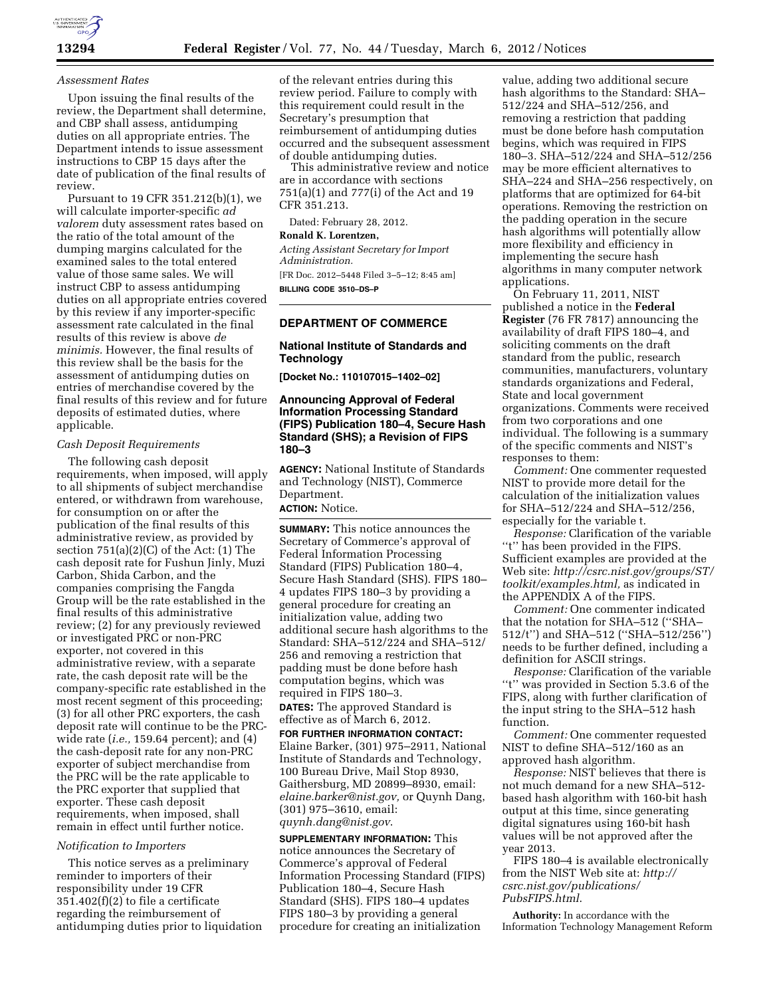

#### *Assessment Rates*

Upon issuing the final results of the review, the Department shall determine, and CBP shall assess, antidumping duties on all appropriate entries. The Department intends to issue assessment instructions to CBP 15 days after the date of publication of the final results of review.

Pursuant to 19 CFR 351.212(b)(1), we will calculate importer-specific *ad valorem* duty assessment rates based on the ratio of the total amount of the dumping margins calculated for the examined sales to the total entered value of those same sales. We will instruct CBP to assess antidumping duties on all appropriate entries covered by this review if any importer-specific assessment rate calculated in the final results of this review is above *de minimis.* However, the final results of this review shall be the basis for the assessment of antidumping duties on entries of merchandise covered by the final results of this review and for future deposits of estimated duties, where applicable.

#### *Cash Deposit Requirements*

The following cash deposit requirements, when imposed, will apply to all shipments of subject merchandise entered, or withdrawn from warehouse, for consumption on or after the publication of the final results of this administrative review, as provided by section 751(a)(2)(C) of the Act: (1) The cash deposit rate for Fushun Jinly, Muzi Carbon, Shida Carbon, and the companies comprising the Fangda Group will be the rate established in the final results of this administrative review; (2) for any previously reviewed or investigated PRC or non-PRC exporter, not covered in this administrative review, with a separate rate, the cash deposit rate will be the company-specific rate established in the most recent segment of this proceeding; (3) for all other PRC exporters, the cash deposit rate will continue to be the PRCwide rate (*i.e.,* 159.64 percent); and (4) the cash-deposit rate for any non-PRC exporter of subject merchandise from the PRC will be the rate applicable to the PRC exporter that supplied that exporter. These cash deposit requirements, when imposed, shall remain in effect until further notice.

#### *Notification to Importers*

This notice serves as a preliminary reminder to importers of their responsibility under 19 CFR 351.402(f)(2) to file a certificate regarding the reimbursement of antidumping duties prior to liquidation of the relevant entries during this review period. Failure to comply with this requirement could result in the Secretary's presumption that reimbursement of antidumping duties occurred and the subsequent assessment of double antidumping duties.

This administrative review and notice are in accordance with sections 751(a)(1) and 777(i) of the Act and 19 CFR 351.213.

Dated: February 28, 2012.

# **Ronald K. Lorentzen,**

*Acting Assistant Secretary for Import Administration.* 

[FR Doc. 2012–5448 Filed 3–5–12; 8:45 am] **BILLING CODE 3510–DS–P** 

## **DEPARTMENT OF COMMERCE**

# **National Institute of Standards and Technology**

**[Docket No.: 110107015–1402–02]** 

### **Announcing Approval of Federal Information Processing Standard (FIPS) Publication 180–4, Secure Hash Standard (SHS); a Revision of FIPS 180–3**

**AGENCY:** National Institute of Standards and Technology (NIST), Commerce Department.

### **ACTION:** Notice.

**SUMMARY:** This notice announces the Secretary of Commerce's approval of Federal Information Processing Standard (FIPS) Publication 180–4, Secure Hash Standard (SHS). FIPS 180– 4 updates FIPS 180–3 by providing a general procedure for creating an initialization value, adding two additional secure hash algorithms to the Standard: SHA–512/224 and SHA–512/ 256 and removing a restriction that padding must be done before hash computation begins, which was required in FIPS 180–3. **DATES:** The approved Standard is effective as of March 6, 2012.

**FOR FURTHER INFORMATION CONTACT:**  Elaine Barker, (301) 975–2911, National Institute of Standards and Technology, 100 Bureau Drive, Mail Stop 8930, Gaithersburg, MD 20899–8930, email: *elaine.barker@nist.gov,* or Quynh Dang, (301) 975–3610, email: *[quynh.dang@nist.gov](mailto:quynh.dang@nist.gov)*.

**SUPPLEMENTARY INFORMATION:** This notice announces the Secretary of Commerce's approval of Federal Information Processing Standard (FIPS) Publication 180–4, Secure Hash Standard (SHS). FIPS 180–4 updates FIPS 180–3 by providing a general procedure for creating an initialization

value, adding two additional secure hash algorithms to the Standard: SHA– 512/224 and SHA–512/256, and removing a restriction that padding must be done before hash computation begins, which was required in FIPS 180–3. SHA–512/224 and SHA–512/256 may be more efficient alternatives to SHA–224 and SHA–256 respectively, on platforms that are optimized for 64-bit operations. Removing the restriction on the padding operation in the secure hash algorithms will potentially allow more flexibility and efficiency in implementing the secure hash algorithms in many computer network applications.

On February 11, 2011, NIST published a notice in the **Federal Register** (76 FR 7817) announcing the availability of draft FIPS 180–4, and soliciting comments on the draft standard from the public, research communities, manufacturers, voluntary standards organizations and Federal, State and local government organizations. Comments were received from two corporations and one individual. The following is a summary of the specific comments and NIST's responses to them:

*Comment:* One commenter requested NIST to provide more detail for the calculation of the initialization values for SHA–512/224 and SHA–512/256, especially for the variable t.

*Response:* Clarification of the variable "t" has been provided in the FIPS. Sufficient examples are provided at the Web site: *[http://csrc.nist.gov/groups/ST/](http://csrc.nist.gov/groups/ST/toolkit/examples.html)  [toolkit/examples.html,](http://csrc.nist.gov/groups/ST/toolkit/examples.html)* as indicated in the APPENDIX A of the FIPS.

*Comment:* One commenter indicated that the notation for SHA–512 (''SHA– 512/t'') and SHA–512 (''SHA–512/256'') needs to be further defined, including a definition for ASCII strings.

*Response:* Clarification of the variable "t" was provided in Section 5.3.6 of the FIPS, along with further clarification of the input string to the SHA–512 hash function.

*Comment:* One commenter requested NIST to define SHA–512/160 as an approved hash algorithm.

*Response:* NIST believes that there is not much demand for a new SHA–512 based hash algorithm with 160-bit hash output at this time, since generating digital signatures using 160-bit hash values will be not approved after the year 2013.

FIPS 180–4 is available electronically from the NIST Web site at: *http:// csrc.nist.gov/publications/ PubsFIPS.html*.

**Authority:** In accordance with the Information Technology Management Reform